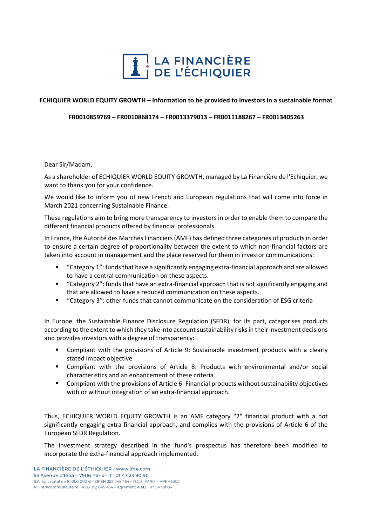

## **ECHIQUIER WORLD EQUITY GROWTH – Information to be provided to investors in a sustainable format**

## **FR0010859769 – FR0010868174 – FR0013379013 – FR0011188267 – FR0013405263**

## Dear Sir/Madam,

As a shareholder of ECHIQUIER WORLD EQUITY GROWTH, managed by La Financière de l'Echiquier, we want to thank you for your confidence.

We would like to inform you of new French and European regulations that will come into force in March 2021 concerning Sustainable Finance.

These regulations aim to bring more transparency to investorsin order to enable them to compare the different financial products offered by financial professionals.

In France, the Autorité des Marchés Financiers (AMF) has defined three categories of products in order to ensure a certain degree of proportionality between the extent to which non-financial factors are taken into account in management and the place reserved for them in investor communications:

- "Category 1": funds that have a significantly engaging extra-financial approach and are allowed to have a central communication on these aspects.
- "Category 2": funds that have an extra-financial approach that is not significantly engaging and that are allowed to have a reduced communication on these aspects.
- "Category 3": other funds that cannot communicate on the consideration of ESG criteria

In Europe, the Sustainable Finance Disclosure Regulation (SFDR), for its part, categorises products according to the extent to which they take into account sustainability risks in their investment decisions and provides investors with a degree of transparency:

- Compliant with the provisions of Article 9: Sustainable investment products with a clearly stated impact objective
- Compliant with the provisions of Article 8: Products with environmental and/or social characteristics and an enhancement of these criteria
- Compliant with the provisions of Article 6: Financial products without sustainability objectives with or without integration of an extra-financial approach.

Thus, ECHIQUIER WORLD EQUITY GROWTH is an AMF category "2" financial product with a not significantly engaging extra-financial approach, and complies with the provisions of Article 6 of the European SFDR Regulation.

The investment strategy described in the fund's prospectus has therefore been modified to incorporate the extra-financial approach implemented.

LA FINANCIÈRE DE L'ÉCHIQUIER - www.lfde.com 53 Avenue d'Iéna - 75116 Paris - T : 01 47 23 90 90 S.A. au capital de 10 060 000 € - SIREN 352 045 454 - R.C.S. PARIS - APE 6630Z Nº Intracommunautaire FR 83 352 045 454 - Agrément A.M.F. Nº GP 91004